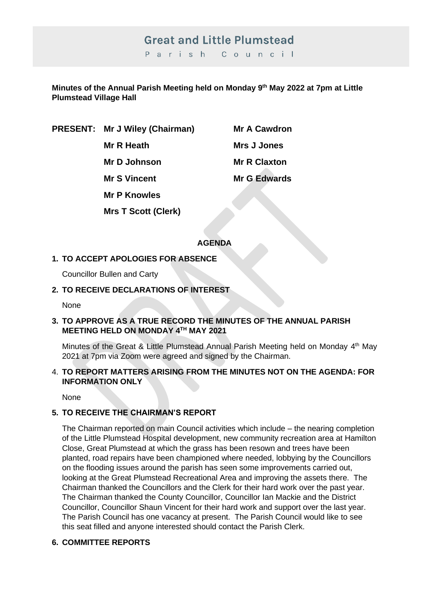# **Great and Little Plumstead**

Parish Council

**Minutes of the Annual Parish Meeting held on Monday 9th May 2022 at 7pm at Little Plumstead Village Hall** 

**PRESENT: Mr J Wiley (Chairman) Mr A Cawdron**

**Mr R Heath Mrs J Jones** 

**Mr D Johnson Mr R Claxton Mr S Vincent Mr G Edwards** 

**Mr P Knowles**

**Mrs T Scott (Clerk)**

#### **AGENDA**

# **1. TO ACCEPT APOLOGIES FOR ABSENCE**

Councillor Bullen and Carty

# **2. TO RECEIVE DECLARATIONS OF INTEREST**

None

#### **3. TO APPROVE AS A TRUE RECORD THE MINUTES OF THE ANNUAL PARISH MEETING HELD ON MONDAY 4TH MAY 2021**

Minutes of the Great & Little Plumstead Annual Parish Meeting held on Monday 4<sup>th</sup> May 2021 at 7pm via Zoom were agreed and signed by the Chairman.

#### 4. **TO REPORT MATTERS ARISING FROM THE MINUTES NOT ON THE AGENDA: FOR INFORMATION ONLY**

None

# **5. TO RECEIVE THE CHAIRMAN'S REPORT**

The Chairman reported on main Council activities which include – the nearing completion of the Little Plumstead Hospital development, new community recreation area at Hamilton Close, Great Plumstead at which the grass has been resown and trees have been planted, road repairs have been championed where needed, lobbying by the Councillors on the flooding issues around the parish has seen some improvements carried out, looking at the Great Plumstead Recreational Area and improving the assets there. The Chairman thanked the Councillors and the Clerk for their hard work over the past year. The Chairman thanked the County Councillor, Councillor Ian Mackie and the District Councillor, Councillor Shaun Vincent for their hard work and support over the last year. The Parish Council has one vacancy at present. The Parish Council would like to see this seat filled and anyone interested should contact the Parish Clerk.

# **6. COMMITTEE REPORTS**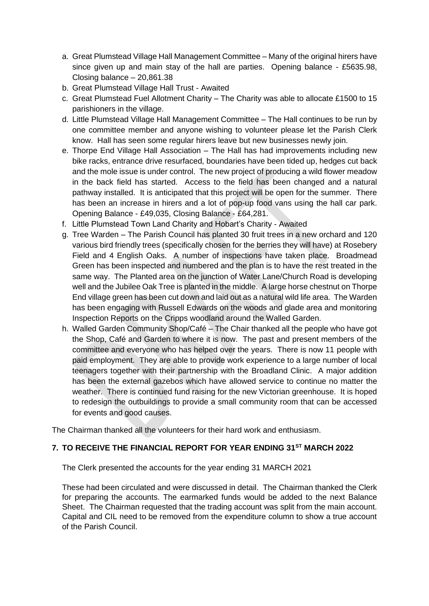- a. Great Plumstead Village Hall Management Committee Many of the original hirers have since given up and main stay of the hall are parties. Opening balance - £5635.98, Closing balance – 20,861.38
- b. Great Plumstead Village Hall Trust Awaited
- c. Great Plumstead Fuel Allotment Charity The Charity was able to allocate £1500 to 15 parishioners in the village.
- d. Little Plumstead Village Hall Management Committee The Hall continues to be run by one committee member and anyone wishing to volunteer please let the Parish Clerk know. Hall has seen some regular hirers leave but new businesses newly join.
- e. Thorpe End Village Hall Association The Hall has had improvements including new bike racks, entrance drive resurfaced, boundaries have been tided up, hedges cut back and the mole issue is under control. The new project of producing a wild flower meadow in the back field has started. Access to the field has been changed and a natural pathway installed. It is anticipated that this project will be open for the summer. There has been an increase in hirers and a lot of pop-up food vans using the hall car park. Opening Balance - £49,035, Closing Balance - £64,281.
- f. Little Plumstead Town Land Charity and Hobart's Charity Awaited
- g. Tree Warden The Parish Council has planted 30 fruit trees in a new orchard and 120 various bird friendly trees (specifically chosen for the berries they will have) at Rosebery Field and 4 English Oaks. A number of inspections have taken place. Broadmead Green has been inspected and numbered and the plan is to have the rest treated in the same way. The Planted area on the junction of Water Lane/Church Road is developing well and the Jubilee Oak Tree is planted in the middle. A large horse chestnut on Thorpe End village green has been cut down and laid out as a natural wild life area. The Warden has been engaging with Russell Edwards on the woods and glade area and monitoring Inspection Reports on the Cripps woodland around the Walled Garden.
- h. Walled Garden Community Shop/Café The Chair thanked all the people who have got the Shop, Café and Garden to where it is now. The past and present members of the committee and everyone who has helped over the years. There is now 11 people with paid employment. They are able to provide work experience to a large number of local teenagers together with their partnership with the Broadland Clinic. A major addition has been the external gazebos which have allowed service to continue no matter the weather. There is continued fund raising for the new Victorian greenhouse. It is hoped to redesign the outbuildings to provide a small community room that can be accessed for events and good causes.

The Chairman thanked all the volunteers for their hard work and enthusiasm.

#### **7. TO RECEIVE THE FINANCIAL REPORT FOR YEAR ENDING 31ST MARCH 2022**

The Clerk presented the accounts for the year ending 31 MARCH 2021

These had been circulated and were discussed in detail. The Chairman thanked the Clerk for preparing the accounts. The earmarked funds would be added to the next Balance Sheet. The Chairman requested that the trading account was split from the main account. Capital and CIL need to be removed from the expenditure column to show a true account of the Parish Council.